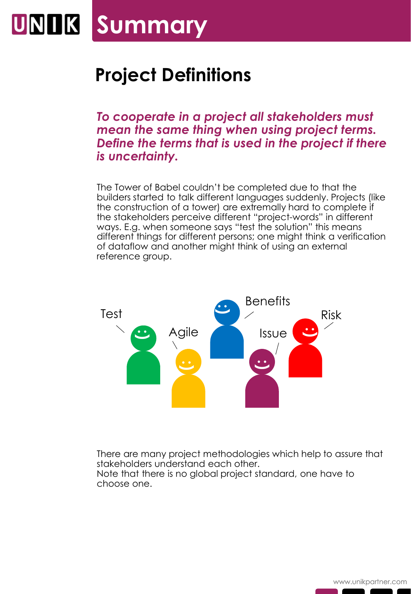## **Summary** UNIK

## **Project Definitions**

*To cooperate in a project all stakeholders must mean the same thing when using project terms. Define the terms that is used in the project if there is uncertainty.* 

The Tower of Babel couldn't be completed due to that the builders started to talk different languages suddenly. Projects (like the construction of a tower) are extremally hard to complete if the stakeholders perceive different "project-words" in different ways. E.g. when someone says "test the solution" this means different things for different persons; one might think a verification of dataflow and another might think of using an external reference group.



There are many project methodologies which help to assure that stakeholders understand each other. Note that there is no global project standard, one have to choose one.